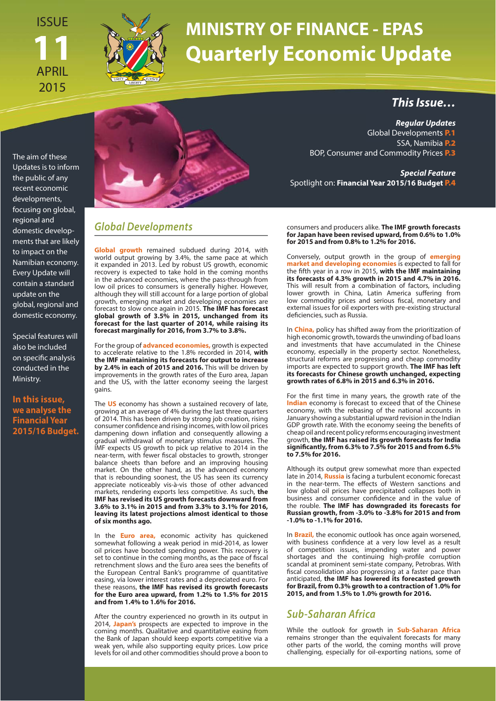ISSUE **11** APRIL 2015



## **MINISTRY OF FINANCE - EPAS Quarterly Economic Update**

The aim of these Updates is to inform the public of any recent economic developments, focusing on global, regional and domestic developments that are likely to impact on the Namibian economy. Every Update will contain a standard update on the global, regional and domestic economy.

Special features will also be included on specific analysis conducted in the Ministry.

**In this issue, we analyse the Financial Year 2015/16 Budget.** 



## **Global Developments**

**Global growth** remained subdued during 2014, with world output growing by 3.4%, the same pace at which it expanded in 2013. Led by robust US growth, economic recovery is expected to take hold in the coming months in the advanced economies, where the pass-through from low oil prices to consumers is generally higher. However, although they will still account for a large portion of global growth, emerging market and developing economies are forecast to slow once again in 2015. **The IMF has forecast global growth of 3.5% in 2015, unchanged from its forecast for the last quarter of 2014, while raising its forecast marginally for 2016, from 3.7% to 3.8%.**

For the group of **advanced economies,** growth is expected to accelerate relative to the 1.8% recorded in 2014, **with the IMF maintaining its forecasts for output to increase by 2.4% in each of 2015 and 2016.** This will be driven by improvements in the growth rates of the Euro area, Japan and the US, with the latter economy seeing the largest gains.

The **US** economy has shown a sustained recovery of late, growing at an average of 4% during the last three quarters of 2014. This has been driven by strong job creation, rising consumer confidence and rising incomes, with low oil prices dampening down inflation and consequently allowing a gradual withdrawal of monetary stimulus measures. The IMF expects US growth to pick up relative to 2014 in the near-term, with fewer fiscal obstacles to growth, stronger balance sheets than before and an improving housing market. On the other hand, as the advanced economy that is rebounding soonest, the US has seen its currency appreciate noticeably vis-à-vis those of other advanced markets, rendering exports less competitive. As such, **the IMF has revised its US growth forecasts downward from 3.6% to 3.1% in 2015 and from 3.3% to 3.1% for 2016, leaving its latest projections almost identical to those of six months ago.**

In the **Euro area,** economic activity has quickened somewhat following a weak period in mid-2014, as lower oil prices have boosted spending power. This recovery is set to continue in the coming months, as the pace of fiscal retrenchment slows and the Euro area sees the benefits of the European Central Bank's programme of quantitative easing, via lower interest rates and a depreciated euro. For these reasons, **the IMF has revised its growth forecasts for the Euro area upward, from 1.2% to 1.5% for 2015 and from 1.4% to 1.6% for 2016.**

After the country experienced no growth in its output in 2014, **Japan's** prospects are expected to improve in the coming months. Qualitative and quantitative easing from the Bank of Japan should keep exports competitive via a weak yen, while also supporting equity prices. Low price levels for oil and other commodities should prove a boon to

**This Issue…**

**Regular Updates** Global Developments **P.1** SSA, Namibia **P.2** BOP, Consumer and Commodity Prices **P.3**

**Special Feature** Spotlight on: **Financial Year 2015/16 Budget P.4**

consumers and producers alike. **The IMF growth forecasts for Japan have been revised upward, from 0.6% to 1.0% for 2015 and from 0.8% to 1.2% for 2016.**

MINISTRY OF FINANCE • Economic Policy Advisory Services (EPAS) **Constituted B**<br>**Constitution**<br>**Constitution**<br>**Constitution**<br>**Constitution**<br>**Constitution**<br>**Constitution**<br>**Constitution**<br>**Constitution**<br> **Constitution**<br> **Constitution**<br> **Constitution**<br> **Constitution**<br> **Constitution**<br> **Cons** Conversely, output growth in the group of **emerging market and developing economies** is expected to fall for the fi fth year in a row in 2015, **with the IMF maintaining its forecasts of 4.3% growth in 2015 and 4.7% in 2016.**  This will result from a combination of factors, including lower growth in China, Latin America suffering from low commodity prices and serious fiscal, monetary and external issues for oil exporters with pre-existing structural deficiencies, such as Russia.

In **China,** policy has shifted away from the prioritization of high economic growth, towards the unwinding of bad loans and investments that have accumulated in the Chinese economy, especially in the property sector. Nonetheless, structural reforms are progressing and cheap commodity imports are expected to support growth. **The IMF has left its forecasts for Chinese growth unchanged, expecting growth rates of 6.8% in 2015 and 6.3% in 2016.**

**The manufacture manufacture in the manufacture of the manufacture of the value of value value value** For the first time in many years, the growth rate of the **Indian** economy is forecast to exceed that of the Chinese economy, with the rebasing of the national accounts in January showing a substantial upward revision in the Indian GDP growth rate. With the economy seeing the benefits of cheap oil and recent policy reforms encouraging investment growth, **the IMF has raised its growth forecasts for India signifi cantly, from 6.3% to 7.5% for 2015 and from 6.5% to 7.5% for 2016.**

Although its output grew somewhat more than expected late in 2014, **Russia** is facing a turbulent economic forecast in the near-term. The effects of Western sanctions and low global oil prices have precipitated collapses both in business and consumer confidence and in the value of the rouble. **The IMF has downgraded its forecasts for Russian growth, from -3.0% to -3.8% for 2015 and from -1.0% to -1.1% for 2016.**

In **Brazil,** the economic outlook has once again worsened, with business confidence at a very low level as a result of competition issues, impending water and power shortages and the continuing high-profile corruption scandal at prominent semi-state company, Petrobras. With fiscal consolidation also progressing at a faster pace than anticipated, **the IMF has lowered its forecasted growth for Brazil, from 0.3% growth to a contraction of 1.0% for 2015, and from 1.5% to 1.0% growth for 2016.**

## **Sub-Saharan Africa**

While the outlook for growth in **Sub-Saharan Africa** remains stronger than the equivalent forecasts for many other parts of the world, the coming months will prove challenging, especially for oil-exporting nations, some of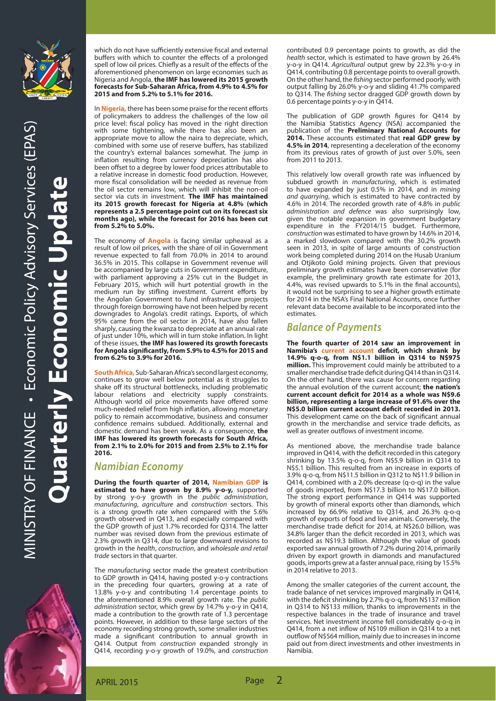

which do not have sufficiently extensive fiscal and external buffers with which to counter the effects of a prolonged spell of low oil prices. Chiefly as a result of the effects of the aforementioned phenomenon on large economies such as Nigeria and Angola, **the IMF has lowered its 2015 growth forecasts for Sub-Saharan Africa, from 4.9% to 4.5% for 2015 and from 5.2% to 5.1% for 2016.**

In **Nigeria**, there has been some praise for the recent efforts of policymakers to address the challenges of the low oil price level: fiscal policy has moved in the right direction with some tightening, while there has also been an appropriate move to allow the naira to depreciate, which, combined with some use of reserve buffers, has stabilized the country's external balances somewhat. The jump in inflation resulting from currency depreciation has also been offset to a degree by lower food prices attributable to a relative increase in domestic food production. However, more fiscal consolidation will be needed as revenue from the oil sector remains low, which will inhibit the non-oil sector via cuts in investment. **The IMF has maintained its 2015 growth forecast for Nigeria at 4.8% (which represents a 2.5 percentage point cut on its forecast six months ago), while the forecast for 2016 has been cut from 5.2% to 5.0%.**

The economy of **Angola** is facing similar upheaval as a result of low oil prices, with the share of oil in Government revenue expected to fall from 70.0% in 2014 to around 36.5% in 2015. This collapse in Government revenue will be accompanied by large cuts in Government expenditure, with parliament approving a 25% cut in the Budget in February 2015, which will hurt potential growth in the medium run by stifling investment. Current efforts by the Angolan Government to fund infrastructure projects through foreign borrowing have not been helped by recent downgrades to Angola's credit ratings. Exports, of which 95% came from the oil sector in 2014, have also fallen sharply, causing the kwanza to depreciate at an annual rate of just under 10%, which will in turn stoke inflation. In light of these issues, **the IMF has lowered its growth forecasts**  for Angola significantly, from 5.9% to 4.5% for 2015 and **from 6.2% to 3.9% for 2016.**

**South Africa,** Sub-Saharan Africa's second largest economy, continues to grow well below potential as it struggles to shake off its structural bottlenecks, including problematic labour relations and electricity supply constraints. Although world oil price movements have offered some much-needed relief from high inflation, allowing monetary policy to remain accommodative, business and consumer confidence remains subdued. Additionally, external and domestic demand has been weak. As a consequence, **the IMF has lowered its growth forecasts for South Africa, from 2.1% to 2.0% for 2015 and from 2.5% to 2.1% for 2016.**

## **Namibian Economy**

**During the fourth quarter of 2014, Namibian GDP is estimated to have grown by 8.9% y-o-y,** supported by strong y-o-y growth in the public administration, manufacturing, agriculture and construction sectors. This is a strong growth rate when compared with the 5.6% growth observed in Q413, and especially compared with the GDP growth of just 1.7% recorded for Q314. The latter number was revised down from the previous estimate of 2.3% growth in Q314, due to large downward revisions to growth in the health, construction, and wholesale and retail trade sectors in that quarter.

The manufacturing sector made the greatest contribution to GDP growth in Q414, having posted y-o-y contractions in the preceding four quarters, growing at a rate of 13.8% y-o-y and contributing 1.4 percentage points to the aforementioned 8.9% overall growth rate. The public administration sector, which grew by 14.7% y-o-y in Q414, made a contribution to the growth rate of 1.3 percentage points. However, in addition to these large sectors of the economy recording strong growth, some smaller industries made a significant contribution to annual growth in Q414. Output from construction expanded strongly in Q414, recording y-o-y growth of 19.0%, and construction

contributed 0.9 percentage points to growth, as did the health sector, which is estimated to have grown by 26.4% y-o-y in Q414. Agricultural output grew by 22.3% y-o-y in Q414, contributing 0.8 percentage points to overall growth. On the other hand, the *fishing* sector performed poorly, with output falling by 26.0% y-o-y and sliding 41.7% compared to Q314. The fishing sector dragged GDP growth down by 0.6 percentage points y-o-y in Q414.

The publication of GDP growth figures for Q414 by the Namibia Statistics Agency (NSA) accompanied the publication of the **Preliminary National Accounts for 2014.** These accounts estimated that **real GDP grew by 4.5% in 2014**, representing a deceleration of the economy from its previous rates of growth of just over 5.0%, seen from 2011 to 2013.

This relatively low overall growth rate was influenced by subdued growth in manufacturing, which is estimated to have expanded by just 0.5% in 2014, and in mining and quarrying, which is estimated to have contracted by 4.6% in 2014. The recorded growth rate of 4.8% in public administration and defence was also surprisingly low, given the notable expansion in government budgetary expenditure in the FY2014/15 budget. Furthermore, construction was estimated to have grown by 14.6% in 2014, a marked slowdown compared with the 30.2% growth seen in 2013, in spite of large amounts of construction work being completed during 2014 on the Husab Uranium and Otjikoto Gold mining projects. Given that previous preliminary growth estimates have been conservative (for example, the preliminary growth rate estimate for 2013, 4.4%, was revised upwards to 5.1% in the final accounts), it would not be surprising to see a higher growth estimate for 2014 in the NSA's Final National Accounts, once further relevant data become available to be incorporated into the estimates.

## **Balance of Payments**

**The fourth quarter of 2014 saw an improvement in**  Namibia's current account deficit, which shrank by **14.9% q-o-q, from N\$1.1 billion in Q314 to N\$975 million.** This improvement could mainly be attributed to a smaller merchandise trade deficit during Q414 than in Q314. On the other hand, there was cause for concern regarding the annual evolution of the current account; **the nation's**  current account deficit for 2014 as a whole was N\$9.6 **billion, representing a large increase of 91.6% over the N\$5.0 billion current account deficit recorded in 2013.** This development came on the back of significant annual growth in the merchandise and service trade deficits, as well as greater outflows of investment income.

As mentioned above, the merchandise trade balance improved in Q414, with the deficit recorded in this category shrinking by 13.5% q-o-q, from N\$5.9 billion in Q314 to N\$5.1 billion. This resulted from an increase in exports of 3.9% q-o-q, from N\$11.5 billion in Q312 to N\$11.9 billion in Q414, combined with a 2.0% decrease (q-o-q) in the value of goods imported, from N\$17.3 billion to N\$17.0 billion. The strong export performance in Q414 was supported by growth of mineral exports other than diamonds, which increased by 66.9% relative to Q314, and 26.3% q-o-q growth of exports of food and live animals. Conversely, the merchandise trade deficit for 2014, at N\$26.0 billion, was 34.8% larger than the deficit recorded in 2013, which was recorded as N\$19.3 billion. Although the value of goods exported saw annual growth of 7.2% during 2014, primarily driven by export growth in diamonds and manufactured goods, imports grew at a faster annual pace, rising by 15.5% in 2014 relative to 2013.

Among the smaller categories of the current account, the trade balance of net services improved marginally in Q414, with the deficit shrinking by 2.7% q-o-q, from N\$137 million in Q314 to N\$133 million, thanks to improvements in the respective balances in the trade of insurance and travel services. Net investment income fell considerably q-o-q in Q414, from a net inflow of N\$109 million in Q314 to a net outflow of N\$564 million, mainly due to increases in income paid out from direct investments and other investments in Namibia.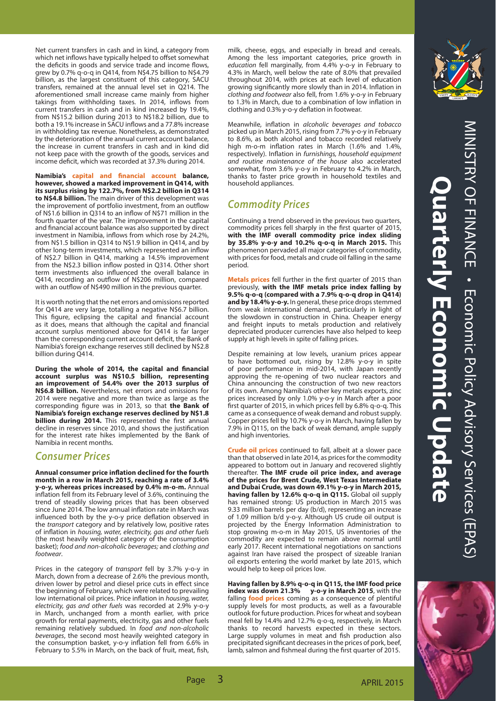Net current transfers in cash and in kind, a category from which net inflows have typically helped to offset somewhat the deficits in goods and service trade and income flows, grew by 0.7% q-o-q in Q414, from N\$4.75 billion to N\$4.79 billion, as the largest constituent of this category, SACU transfers, remained at the annual level set in Q214. The aforementioned small increase came mainly from higher takings from withholding taxes. In 2014, inflows from current transfers in cash and in kind increased by 19.4%, from N\$15.2 billion during 2013 to N\$18.2 billion, due to both a 19.1% increase in SACU inflows and a 77.8% increase in withholding tax revenue. Nonetheless, as demonstrated by the deterioration of the annual current account balance, the increase in current transfers in cash and in kind did not keep pace with the growth of the goods, services and income deficit, which was recorded at 37.3% during 2014.

Namibia's capital and financial account balance, **however, showed a marked improvement in Q414, with its surplus rising by 122.7%, from N\$2.2 billion in Q314 to N\$4.8 billion.** The main driver of this development was the improvement of portfolio investment, from an outflow of N\$1.6 billion in Q314 to an inflow of N\$71 million in the fourth quarter of the year. The improvement in the capital and financial account balance was also supported by direct investment in Namibia, inflows from which rose by 24.2%, from N\$1.5 billion in Q314 to N\$1.9 billion in Q414, and by other long-term investments, which represented an inflow of N\$2.7 billion in Q414, marking a 14.5% improvement from the N\$2.3 billion inflow posted in Q314. Other short term investments also influenced the overall balance in Q414, recording an outflow of N\$206 million, compared with an outflow of N\$490 million in the previous quarter.

It is worth noting that the net errors and omissions reported for Q414 are very large, totalling a negative N\$6.7 billion. This figure, eclipsing the capital and financial account as it does, means that although the capital and financial account surplus mentioned above for Q414 is far larger than the corresponding current account deficit, the Bank of Namibia's foreign exchange reserves still declined by N\$2.8 billion during Q414.

During the whole of 2014, the capital and financial **account surplus was N\$10.5 billion, representing an improvement of 54.4% over the 2013 surplus of N\$6.8 billion.** Nevertheless, net errors and omissions for 2014 were negative and more than twice as large as the corresponding figure was in 2013, so that the Bank of **Namibia's foreign exchange reserves declined by N\$1.8 billion during 2014.** This represented the first annual decline in reserves since 2010, and shows the justification for the interest rate hikes implemented by the Bank of Namibia in recent months.

#### **Consumer Prices**

Annual consumer price inflation declined for the fourth **month in a row in March 2015, reaching a rate of 3.4% y-o-y, whereas prices increased by 0.4% m-o-m.** Annual inflation fell from its February level of 3.6%, continuing the trend of steadily slowing prices that has been observed since June 2014. The low annual inflation rate in March was influenced both by the y-o-y price deflation observed in the transport category and by relatively low, positive rates of inflation in housing, water, electricity, gas and other fuels (the most heavily weighted category of the consumption basket); food and non-alcoholic beverages; and clothing and footwear.

Prices in the category of transport fell by 3.7% y-o-y in March, down from a decrease of 2.6% the previous month, driven lower by petrol and diesel price cuts in effect since the beginning of February, which were related to prevailing low international oil prices. Price inflation in housing, water, electricity, gas and other fuels was recorded at 2.9% y-o-y in March, unchanged from a month earlier, with price growth for rental payments, electricity, gas and other fuels remaining relatively subdued. In food and non-alcoholic beverages, the second most heavily weighted category in the consumption basket, y-o-y inflation fell from 6.6% in February to 5.5% in March, on the back of fruit, meat, fish, milk, cheese, eggs, and especially in bread and cereals. Among the less important categories, price growth in education fell marginally, from 4.4% y-o-y in February to 4.3% in March, well below the rate of 8.0% that prevailed throughout 2014, with prices at each level of education growing significantly more slowly than in 2014. Inflation in clothing and footwear also fell, from 1.6% y-o-y in February to 1.3% in March, due to a combination of low inflation in clothing and 0.3% y-o-y deflation in footwear.

Meanwhile, inflation in alcoholic beverages and tobacco picked up in March 2015, rising from 7.7% y-o-y in February to 8.6%, as both alcohol and tobacco recorded relatively high m-o-m inflation rates in March (1.6% and 1.4%, respectively). Inflation in furnishings, household equipment and routine maintenance of the house also accelerated somewhat, from 3.6% y-o-y in February to 4.2% in March, thanks to faster price growth in household textiles and household appliances.

## **Commodity Prices**

Continuing a trend observed in the previous two quarters, commodity prices fell sharply in the first quarter of 2015, **with the IMF overall commodity price index sliding by 35.8% y-o-y and 10.2% q-o-q in March 2015.** This phenomenon pervaded all major categories of commodity, with prices for food, metals and crude oil falling in the same period.

Metals prices fell further in the first quarter of 2015 than previously, **with the IMF metals price index falling by 9.5% q-o-q (compared with a 7.9% q-o-q drop in Q414) and by 18.4% y-o-y.** In general, these price drops stemmed from weak international demand, particularly in light of the slowdown in construction in China. Cheaper energy and freight inputs to metals production and relatively depreciated producer currencies have also helped to keep supply at high levels in spite of falling prices.

Despite remaining at low levels, uranium prices appear to have bottomed out, rising by 12.8% y-o-y in spite of poor performance in mid-2014, with Japan recently approving the re-opening of two nuclear reactors and China announcing the construction of two new reactors of its own. Among Namibia's other key metals exports, zinc prices increased by only 1.0% y-o-y in March after a poor first quarter of 2015, in which prices fell by 6.8% q-o-q. This came as a consequence of weak demand and robust supply. Copper prices fell by 10.7% y-o-y in March, having fallen by 7.9% in Q115, on the back of weak demand, ample supply and high inventories.

**Crude oil prices** continued to fall, albeit at a slower pace than that observed in late 2014, as prices for the commodity appeared to bottom out in January and recovered slightly thereafter. **The IMF crude oil price index, and average of the prices for Brent Crude, West Texas Intermediate and Dubai Crude, was down 49.1% y-o-y in March 2015, having fallen by 12.6% q-o-q in Q115.** Global oil supply has remained strong: US production in March 2015 was 9.33 million barrels per day (b/d), representing an increase of 1.09 million b/d y-o-y. Although US crude oil output is projected by the Energy Information Administration to stop growing m-o-m in May 2015, US inventories of the commodity are expected to remain above normal until early 2017. Recent international negotiations on sanctions against Iran have raised the prospect of sizeable Iranian oil exports entering the world market by late 2015, which would help to keep oil prices low.

**Having fallen by 8.9% q-o-q in Q115, the IMF food price y-o-y in March 2015**, with the falling **food prices** coming as a consequence of plentiful supply levels for most products, as well as a favourable outlook for future production. Prices for wheat and soybean meal fell by 14.4% and 12.7% q-o-q, respectively, in March thanks to record harvests expected in these sectors. Large supply volumes in meat and fish production also precipitated significant decreases in the prices of pork, beef, lamb, salmon and fishmeal during the first quarter of 2015.



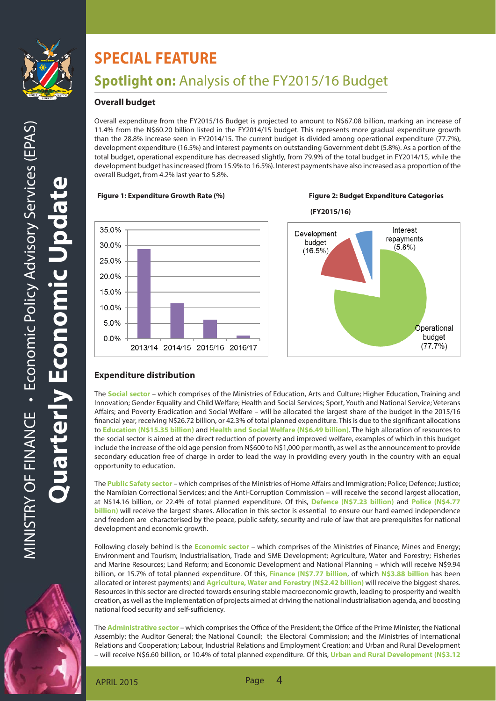

O

# **SPECIAL FEATURE**

## **Spotlight on:** Analysis of the FY2015/16 Budget

## **Overall budget**

Overall expenditure from the FY2015/16 Budget is projected to amount to N\$67.08 billion, marking an increase of 11.4% from the N\$60.20 billion listed in the FY2014/15 budget. This represents more gradual expenditure growth than the 28.8% increase seen in FY2014/15. The current budget is divided among operational expenditure (77.7%), development expenditure (16.5%) and interest payments on outstanding Government debt (5.8%). As a portion of the total budget, operational expenditure has decreased slightly, from 79.9% of the total budget in FY2014/15, while the development budget has increased (from 15.9% to 16.5%). Interest payments have also increased as a proportion of the overall Budget, from 4.2% last year to 5.8%.

#### **Figure 1: Expenditure Growth Rate (%) Figure 2: Budget Expenditure Categories**



35.0% 30.0% 25.0% 20.0% 15.0% 10.0% 5.0%  $0.0\%$ 2013/14 2014/15 2015/16 2016/17



## **Expenditure distribution**

The **Social sector** – which comprises of the Ministries of Education, Arts and Culture; Higher Education, Training and Innovation; Gender Equality and Child Welfare; Health and Social Services; Sport, Youth and National Service; Veterans Affairs; and Poverty Eradication and Social Welfare – will be allocated the largest share of the budget in the 2015/16 financial year, receiving N\$26.72 billion, or 42.3% of total planned expenditure. This is due to the significant allocations to **Education (N\$15.35 billion)** and **Health and Social Welfare (N\$6.49 billion)**. The high allocation of resources to the social sector is aimed at the direct reduction of poverty and improved welfare, examples of which in this budget include the increase of the old age pension from N\$600 to N\$1,000 per month, as well as the announcement to provide secondary education free of charge in order to lead the way in providing every youth in the country with an equal opportunity to education.

I,

The **Public Safety sector** – which comprises of the Ministries of Home Affairs and Immigration; Police; Defence; Justice; the Namibian Correctional Services; and the Anti-Corruption Commission – will receive the second largest allocation, at N\$14.16 billion, or 22.4% of total planned expenditure. Of this, **Defence (N\$7.23 billion)** and **Police (N\$4.77 billion**) will receive the largest shares. Allocation in this sector is essential to ensure our hard earned independence and freedom are characterised by the peace, public safety, security and rule of law that are prerequisites for national development and economic growth.

Following closely behind is the **Economic sector** – which comprises of the Ministries of Finance; Mines and Energy; Environment and Tourism; Industrialisation, Trade and SME Development; Agriculture, Water and Forestry; Fisheries and Marine Resources; Land Reform; and Economic Development and National Planning – which will receive N\$9.94 billion, or 15.7% of total planned expenditure. Of this, **Finance (N\$7.77 billion**, of which **N\$3.88 billion** has been allocated or interest payments**)** and **Agriculture, Water and Forestry (N\$2.42 billion)** will receive the biggest shares. Resources in this sector are directed towards ensuring stable macroeconomic growth, leading to prosperity and wealth creation, as well as the implementation of projects aimed at driving the national industrialisation agenda, and boosting national food security and self-sufficiency.

The **Administrative sector** – which comprises the Office of the President; the Office of the Prime Minister; the National Assembly; the Auditor General; the National Council; the Electoral Commission; and the Ministries of International Relations and Cooperation; Labour, Industrial Relations and Employment Creation; and Urban and Rural Development – will receive N\$6.60 billion, or 10.4% of total planned expenditure. Of this, **Urban and Rural Development (N\$3.12** 

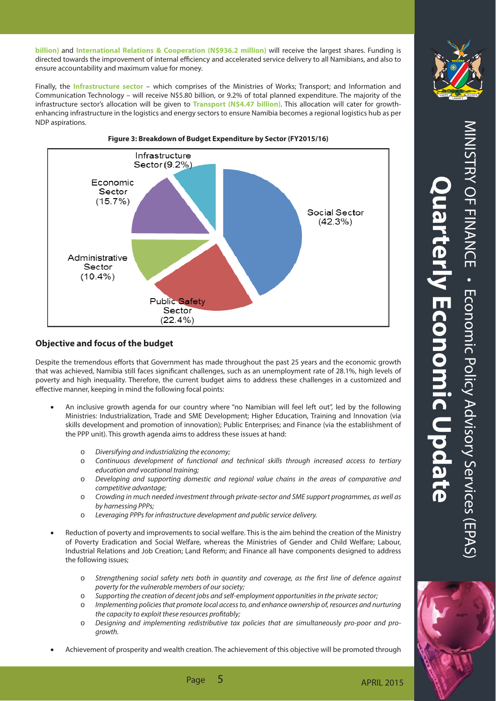**billion)** and **International Relations & Cooperation (N\$936.2 million)** will receive the largest shares. Funding is directed towards the improvement of internal efficiency and accelerated service delivery to all Namibians, and also to ensure accountability and maximum value for money.

Finally, the **Infrastructure sector** – which comprises of the Ministries of Works; Transport; and Information and Communication Technology – will receive N\$5.80 billion, or 9.2% of total planned expenditure. The majority of the infrastructure sector's allocation will be given to **Transport (N\$4.47 billion)**. This allocation will cater for growthenhancing infrastructure in the logistics and energy sectors to ensure Namibia becomes a regional logistics hub as per NDP aspirations.



**Figure 3: Breakdown of Budget Expenditure by Sector (FY2015/16)**

### **Objective and focus of the budget**

Despite the tremendous efforts that Government has made throughout the past 25 years and the economic growth that was achieved, Namibia still faces significant challenges, such as an unemployment rate of 28.1%, high levels of poverty and high inequality. Therefore, the current budget aims to address these challenges in a customized and effective manner, keeping in mind the following focal points:

- An inclusive growth agenda for our country where "no Namibian will feel left out", led by the following Ministries: Industrialization, Trade and SME Development; Higher Education, Training and Innovation (via skills development and promotion of innovation); Public Enterprises; and Finance (via the establishment of the PPP unit). This growth agenda aims to address these issues at hand:
	- o Diversifying and industrializing the economy;
	- o Continuous development of functional and technical skills through increased access to tertiary education and vocational training;
	- o Developing and supporting domestic and regional value chains in the areas of comparative and competitive advantage;
	- o Crowding in much needed investment through private-sector and SME support programmes, as well as by harnessing PPPs;
	- o Leveraging PPPs for infrastructure development and public service delivery.
- Reduction of poverty and improvements to social welfare. This is the aim behind the creation of the Ministry of Poverty Eradication and Social Welfare, whereas the Ministries of Gender and Child Welfare; Labour, Industrial Relations and Job Creation; Land Reform; and Finance all have components designed to address the following issues;
	- o Strengthening social safety nets both in quantity and coverage, as the first line of defence against poverty for the vulnerable members of our society;
	- o Supporting the creation of decent jobs and self-employment opportunities in the private sector;
	- o Implementing policies that promote local access to, and enhance ownership of, resources and nurturing the capacity to exploit these resources profitably;
	- o Designing and implementing redistributive tax policies that are simultaneously pro-poor and progrowth.
- Achievement of prosperity and wealth creation. The achievement of this objective will be promoted through

Page 5 and 2015 and 2015 and 2015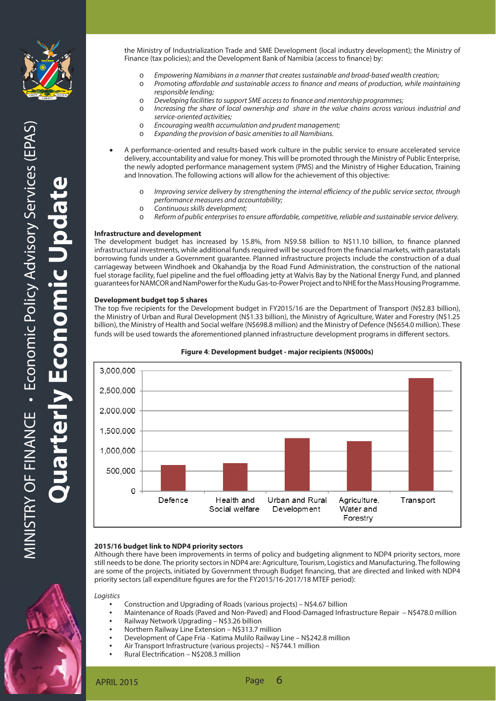

the Ministry of Industrialization Trade and SME Development (local industry development); the Ministry of Finance (tax policies); and the Development Bank of Namibia (access to finance) by:

- o Empowering Namibians in a manner that creates sustainable and broad-based wealth creation;
- o Promoting affordable and sustainable access to finance and means of production, while maintaining responsible lending;
- o Developing facilities to support SME access to finance and mentorship programmes;
- o Increasing the share of local ownership and share in the value chains across various industrial and service-oriented activities;
- o Encouraging wealth accumulation and prudent management;
- o Expanding the provision of basic amenities to all Namibians.
- A performance-oriented and results-based work culture in the public service to ensure accelerated service delivery, accountability and value for money. This will be promoted through the Ministry of Public Enterprise, the newly adopted performance management system (PMS) and the Ministry of Higher Education, Training and Innovation. The following actions will allow for the achievement of this objective:
	- $\circ$  Improving service delivery by strengthening the internal efficiency of the public service sector, through performance measures and accountability;
	- o Continuous skills development;
	- $\circ$  Reform of public enterprises to ensure affordable, competitive, reliable and sustainable service delivery.

#### **Infrastructure and development**

The development budget has increased by 15.8%, from N\$9.58 billion to N\$11.10 billion, to finance planned infrastructural investments, while additional funds required will be sourced from the financial markets, with parastatals borrowing funds under a Government guarantee. Planned infrastructure projects include the construction of a dual carriageway between Windhoek and Okahandja by the Road Fund Administration, the construction of the national fuel storage facility, fuel pipeline and the fuel offloading jetty at Walvis Bay by the National Energy Fund, and planned guarantees for NAMCOR and NamPower for the Kudu Gas-to-Power Project and to NHE for the Mass Housing Programme.

#### **Development budget top 5 shares**

The top five recipients for the Development budget in FY2015/16 are the Department of Transport (N\$2.83 billion), the Ministry of Urban and Rural Development (N\$1.33 billion), the Ministry of Agriculture, Water and Forestry (N\$1.25 billion), the Ministry of Health and Social welfare (N\$698.8 million) and the Ministry of Defence (N\$654.0 million). These funds will be used towards the aforementioned planned infrastructure development programs in different sectors.



#### **Figure 4**: **Development budget - major recipients (N\$000s)**

#### **2015/16 budget link to NDP4 priority sectors**

Although there have been improvements in terms of policy and budgeting alignment to NDP4 priority sectors, more still needs to be done. The priority sectors in NDP4 are: Agriculture, Tourism, Logistics and Manufacturing. The following are some of the projects, initiated by Government through Budget financing, that are directed and linked with NDP4 priority sectors (all expenditure figures are for the FY2015/16-2017/18 MTEF period):

Logistics

- Construction and Upgrading of Roads (various projects) N\$4.67 billion
- Maintenance of Roads (Paved and Non-Paved) and Flood-Damaged Infrastructure Repair N\$478.0 million
- Railway Network Upgrading N\$3.26 billion
- Northern Railway Line Extension N\$313.7 million
- Development of Cape Fria Katima Mulilo Railway Line N\$242.8 million
- Air Transport Infrastructure (various projects) N\$744.1 million
- Rural Electrification N\$208.3 million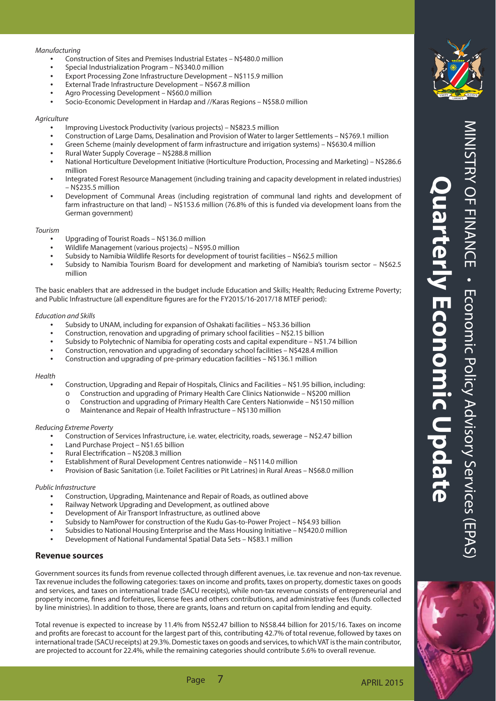#### Manufacturing

- Construction of Sites and Premises Industrial Estates N\$480.0 million
- Special Industrialization Program N\$340.0 million
- Export Processing Zone Infrastructure Development N\$115.9 million
- External Trade Infrastructure Development N\$67.8 million
- Agro Processing Development N\$60.0 million
- Socio-Economic Development in Hardap and //Karas Regions N\$58.0 million

#### **Agriculture**

- Improving Livestock Productivity (various projects) N\$823.5 million
- Construction of Large Dams, Desalination and Provision of Water to larger Settlements N\$769.1 million
- Green Scheme (mainly development of farm infrastructure and irrigation systems) N\$630.4 million
- Rural Water Supply Coverage N\$288.8 million
- National Horticulture Development Initiative (Horticulture Production, Processing and Marketing) N\$286.6 million
- Integrated Forest Resource Management (including training and capacity development in related industries) – N\$235.5 million
- Development of Communal Areas (including registration of communal land rights and development of farm infrastructure on that land) – N\$153.6 million (76.8% of this is funded via development loans from the German government)

#### Tourism

- Upgrading of Tourist Roads N\$136.0 million
- Wildlife Management (various projects) N\$95.0 million
- Subsidy to Namibia Wildlife Resorts for development of tourist facilities N\$62.5 million
- Subsidy to Namibia Tourism Board for development and marketing of Namibia's tourism sector N\$62.5 million

The basic enablers that are addressed in the budget include Education and Skills; Health; Reducing Extreme Poverty; and Public Infrastructure (all expenditure figures are for the FY2015/16-2017/18 MTEF period):

#### Education and Skills

- Subsidy to UNAM, including for expansion of Oshakati facilities N\$3.36 billion
- Construction, renovation and upgrading of primary school facilities N\$2.15 billion
- Subsidy to Polytechnic of Namibia for operating costs and capital expenditure N\$1.74 billion
- Construction, renovation and upgrading of secondary school facilities N\$428.4 million
- Construction and upgrading of pre-primary education facilities N\$136.1 million

#### Health

- Construction, Upgrading and Repair of Hospitals, Clinics and Facilities N\$1.95 billion, including:
- o Construction and upgrading of Primary Health Care Clinics Nationwide N\$200 million
- o Construction and upgrading of Primary Health Care Centers Nationwide N\$150 million
- o Maintenance and Repair of Health Infrastructure N\$130 million

#### Reducing Extreme Poverty

- Construction of Services Infrastructure, i.e. water, electricity, roads, sewerage N\$2.47 billion
- Land Purchase Project N\$1.65 billion
- Rural Electrification N\$208.3 million
- Establishment of Rural Development Centres nationwide N\$114.0 million
- Provision of Basic Sanitation (i.e. Toilet Facilities or Pit Latrines) in Rural Areas N\$68.0 million

#### Public Infrastructure

- Construction, Upgrading, Maintenance and Repair of Roads, as outlined above
- Railway Network Upgrading and Development, as outlined above
- Development of Air Transport Infrastructure, as outlined above
- Subsidy to NamPower for construction of the Kudu Gas-to-Power Project N\$4.93 billion
- Subsidies to National Housing Enterprise and the Mass Housing Initiative N\$420.0 million
- Development of National Fundamental Spatial Data Sets N\$83.1 million

#### **Revenue sources**

Government sources its funds from revenue collected through different avenues, i.e. tax revenue and non-tax revenue. Tax revenue includes the following categories: taxes on income and profits, taxes on property, domestic taxes on goods and services, and taxes on international trade (SACU receipts), while non-tax revenue consists of entrepreneurial and property income, fines and forfeitures, license fees and others contributions, and administrative fees (funds collected by line ministries). In addition to those, there are grants, loans and return on capital from lending and equity.

Total revenue is expected to increase by 11.4% from N\$52.47 billion to N\$58.44 billion for 2015/16. Taxes on income and profits are forecast to account for the largest part of this, contributing 42.7% of total revenue, followed by taxes on international trade (SACU receipts) at 29.3%. Domestic taxes on goods and services, to which VAT is the main contributor, are projected to account for 22.4%, while the remaining categories should contribute 5.6% to overall revenue.